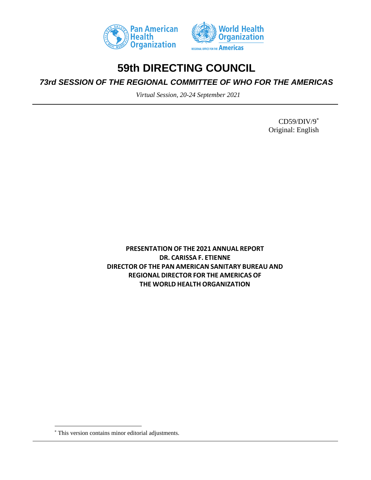



## **59th DIRECTING COUNCIL**

*73rd SESSION OF THE REGIONAL COMMITTEE OF WHO FOR THE AMERICAS*

*Virtual Session, 20-24 September 2021*

CD59/DIV/9 \* Original: English

**PRESENTATION OF THE 2021 ANNUAL REPORT DR. CARISSA F. ETIENNE DIRECTOR OF THE PAN AMERICAN SANITARY BUREAU AND REGIONAL DIRECTOR FOR THE AMERICAS OF THE WORLD HEALTH ORGANIZATION**

<sup>\*</sup> This version contains minor editorial adjustments.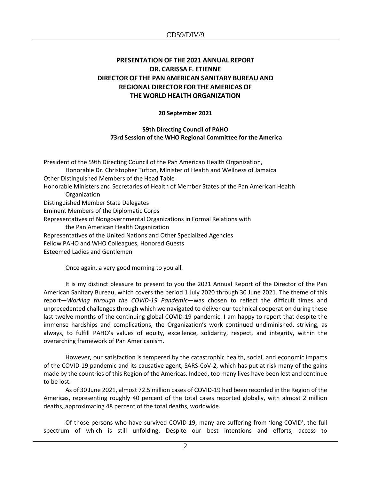## **PRESENTATION OF THE 2021 ANNUAL REPORT DR. CARISSA F. ETIENNE DIRECTOR OF THE PAN AMERICAN SANITARY BUREAU AND REGIONAL DIRECTOR FOR THE AMERICAS OF THE WORLD HEALTH ORGANIZATION**

## **20 September 2021**

## **59th Directing Council of PAHO 73rd Session of the WHO Regional Committee for the America**

President of the 59th Directing Council of the Pan American Health Organization, Honorable Dr. Christopher Tufton, Minister of Health and Wellness of Jamaica Other Distinguished Members of the Head Table Honorable Ministers and Secretaries of Health of Member States of the Pan American Health Organization Distinguished Member State Delegates Eminent Members of the Diplomatic Corps Representatives of Nongovernmental Organizations in Formal Relations with the Pan American Health Organization Representatives of the United Nations and Other Specialized Agencies Fellow PAHO and WHO Colleagues, Honored Guests Esteemed Ladies and Gentlemen

Once again, a very good morning to you all.

It is my distinct pleasure to present to you the 2021 Annual Report of the Director of the Pan American Sanitary Bureau, which covers the period 1 July 2020 through 30 June 2021. The theme of this report—*Working through the COVID-19 Pandemic*—was chosen to reflect the difficult times and unprecedented challenges through which we navigated to deliver our technical cooperation during these last twelve months of the continuing global COVID-19 pandemic. I am happy to report that despite the immense hardships and complications, the Organization's work continued undiminished, striving, as always, to fulfill PAHO's values of equity, excellence, solidarity, respect, and integrity, within the overarching framework of Pan Americanism.

However, our satisfaction is tempered by the catastrophic health, social, and economic impacts of the COVID-19 pandemic and its causative agent, SARS-CoV-2, which has put at risk many of the gains made by the countries of this Region of the Americas. Indeed, too many lives have been lost and continue to be lost.

As of 30 June 2021, almost 72.5 million cases of COVID-19 had been recorded in the Region of the Americas, representing roughly 40 percent of the total cases reported globally, with almost 2 million deaths, approximating 48 percent of the total deaths, worldwide.

Of those persons who have survived COVID-19, many are suffering from 'long COVID', the full spectrum of which is still unfolding. Despite our best intentions and efforts, access to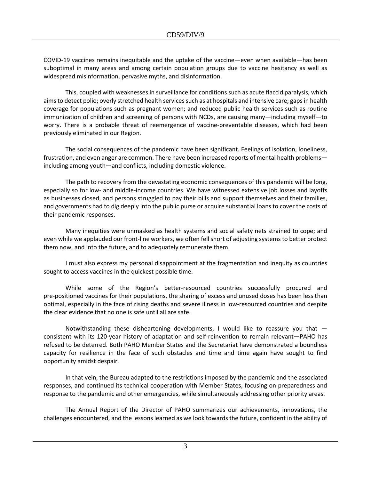COVID-19 vaccines remains inequitable and the uptake of the vaccine—even when available—has been suboptimal in many areas and among certain population groups due to vaccine hesitancy as well as widespread misinformation, pervasive myths, and disinformation.

This, coupled with weaknesses in surveillance for conditions such as acute flaccid paralysis, which aims to detect polio; overly stretched health services such as at hospitals and intensive care; gaps in health coverage for populations such as pregnant women; and reduced public health services such as routine immunization of children and screening of persons with NCDs, are causing many—including myself—to worry. There is a probable threat of reemergence of vaccine-preventable diseases, which had been previously eliminated in our Region.

The social consequences of the pandemic have been significant. Feelings of isolation, loneliness, frustration, and even anger are common. There have been increased reports of mental health problems including among youth—and conflicts, including domestic violence.

The path to recovery from the devastating economic consequences of this pandemic will be long, especially so for low- and middle-income countries. We have witnessed extensive job losses and layoffs as businesses closed, and persons struggled to pay their bills and support themselves and their families, and governments had to dig deeply into the public purse or acquire substantial loans to cover the costs of their pandemic responses.

Many inequities were unmasked as health systems and social safety nets strained to cope; and even while we applauded our front-line workers, we often fell short of adjusting systems to better protect them now, and into the future, and to adequately remunerate them.

I must also express my personal disappointment at the fragmentation and inequity as countries sought to access vaccines in the quickest possible time.

While some of the Region's better-resourced countries successfully procured and pre-positioned vaccines for their populations, the sharing of excess and unused doses has been less than optimal, especially in the face of rising deaths and severe illness in low-resourced countries and despite the clear evidence that no one is safe until all are safe.

Notwithstanding these disheartening developments, I would like to reassure you that  $$ consistent with its 120-year history of adaptation and self-reinvention to remain relevant—PAHO has refused to be deterred. Both PAHO Member States and the Secretariat have demonstrated a boundless capacity for resilience in the face of such obstacles and time and time again have sought to find opportunity amidst despair.

In that vein, the Bureau adapted to the restrictions imposed by the pandemic and the associated responses, and continued its technical cooperation with Member States, focusing on preparedness and response to the pandemic and other emergencies, while simultaneously addressing other priority areas.

The Annual Report of the Director of PAHO summarizes our achievements, innovations, the challenges encountered, and the lessons learned as we look towards the future, confident in the ability of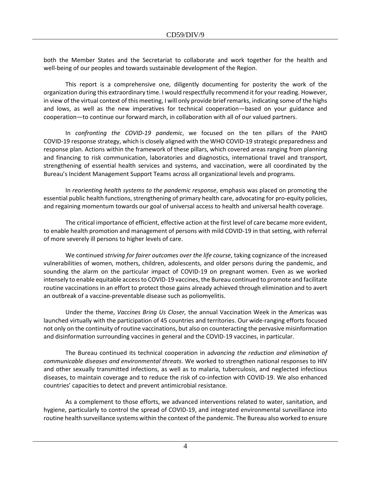both the Member States and the Secretariat to collaborate and work together for the health and well-being of our peoples and towards sustainable development of the Region.

This report is a comprehensive one, diligently documenting for posterity the work of the organization during this extraordinary time. I would respectfully recommend it for your reading. However, in view of the virtual context of this meeting, I will only provide brief remarks, indicating some of the highs and lows, as well as the new imperatives for technical cooperation—based on your guidance and cooperation—to continue our forward march, in collaboration with all of our valued partners.

In *confronting the COVID-19 pandemic*, we focused on the ten pillars of the PAHO COVID-19 response strategy, which is closely aligned with the WHO COVID-19 strategic preparedness and response plan. Actions within the framework of these pillars, which covered areas ranging from planning and financing to risk communication, laboratories and diagnostics, international travel and transport, strengthening of essential health services and systems, and vaccination, were all coordinated by the Bureau's Incident Management Support Teams across all organizational levels and programs.

In *reorienting health systems to the pandemic response*, emphasis was placed on promoting the essential public health functions, strengthening of primary health care, advocating for pro-equity policies, and regaining momentum towards our goal of universal access to health and universal health coverage.

The critical importance of efficient, effective action at the first level of care became more evident, to enable health promotion and management of persons with mild COVID-19 in that setting, with referral of more severely ill persons to higher levels of care.

We continued *striving for fairer outcomes over the life course*, taking cognizance of the increased vulnerabilities of women, mothers, children, adolescents, and older persons during the pandemic, and sounding the alarm on the particular impact of COVID-19 on pregnant women. Even as we worked intensely to enable equitable access to COVID-19 vaccines, the Bureau continued to promote and facilitate routine vaccinations in an effort to protect those gains already achieved through elimination and to avert an outbreak of a vaccine-preventable disease such as poliomyelitis.

Under the theme, *Vaccines Bring Us Closer,* the annual Vaccination Week in the Americas was launched virtually with the participation of 45 countries and territories. Our wide-ranging efforts focused not only on the continuity of routine vaccinations, but also on counteracting the pervasive misinformation and disinformation surrounding vaccines in general and the COVID-19 vaccines, in particular.

The Bureau continued its technical cooperation in a*dvancing the reduction and elimination of communicable diseases and environmental threats*. We worked to strengthen national responses to HIV and other sexually transmitted infections, as well as to malaria, tuberculosis, and neglected infectious diseases, to maintain coverage and to reduce the risk of co-infection with COVID-19. We also enhanced countries' capacities to detect and prevent antimicrobial resistance.

As a complement to those efforts, we advanced interventions related to water, sanitation, and hygiene, particularly to control the spread of COVID-19, and integrated environmental surveillance into routine health surveillance systems within the context of the pandemic. The Bureau also worked to ensure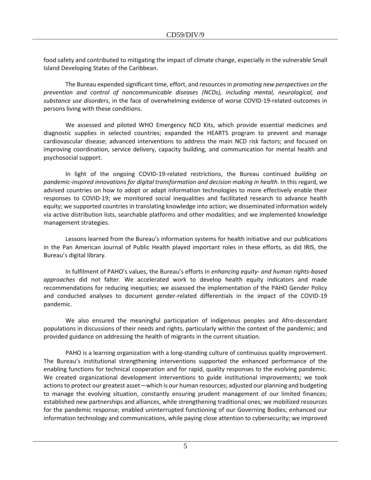food safety and contributed to mitigating the impact of climate change, especially in the vulnerable Small Island Developing States of the Caribbean.

The Bureau expended significant time, effort, and resources in *promoting new perspectives on the prevention and control of noncommunicable diseases (NCDs), including mental, neurological, and substance use disorders*, in the face of overwhelming evidence of worse COVID-19-related outcomes in persons living with these conditions.

We assessed and piloted WHO Emergency NCD Kits, which provide essential medicines and diagnostic supplies in selected countries; expanded the HEARTS program to prevent and manage cardiovascular disease; advanced interventions to address the main NCD risk factors; and focused on improving coordination, service delivery, capacity building, and communication for mental health and psychosocial support.

In light of the ongoing COVID-19-related restrictions, the Bureau continued *building on pandemic-inspired innovations for digital transformation and decision making in health*. In this regard, we advised countries on how to adopt or adapt information technologies to more effectively enable their responses to COVID-19; we monitored social inequalities and facilitated research to advance health equity; we supported countries in translating knowledge into action; we disseminated information widely via active distribution lists, searchable platforms and other modalities; and we implemented knowledge management strategies.

Lessons learned from the Bureau's information systems for health initiative and our publications in the Pan American Journal of Public Health played important roles in these efforts, as did IRIS, the Bureau's digital library.

In fulfilment of PAHO's values, the Bureau's efforts in *enhancing equity- and human rights-based approaches* did not falter. We accelerated work to develop health equity indicators and made recommendations for reducing inequities; we assessed the implementation of the PAHO Gender Policy and conducted analyses to document gender-related differentials in the impact of the COVID-19 pandemic.

We also ensured the meaningful participation of indigenous peoples and Afro-descendant populations in discussions of their needs and rights, particularly within the context of the pandemic; and provided guidance on addressing the health of migrants in the current situation.

PAHO is a learning organization with a long-standing culture of continuous quality improvement. The Bureau's institutional strengthening interventions supported the enhanced performance of the enabling functions for technical cooperation and for rapid, quality responses to the evolving pandemic. We created organizational development interventions to guide institutional improvements; we took actionsto protect our greatest asset—which is our human resources; adjusted our planning and budgeting to manage the evolving situation, constantly ensuring prudent management of our limited finances; established new partnerships and alliances, while strengthening traditional ones; we mobilized resources for the pandemic response; enabled uninterrupted functioning of our Governing Bodies; enhanced our information technology and communications, while paying close attention to cybersecurity; we improved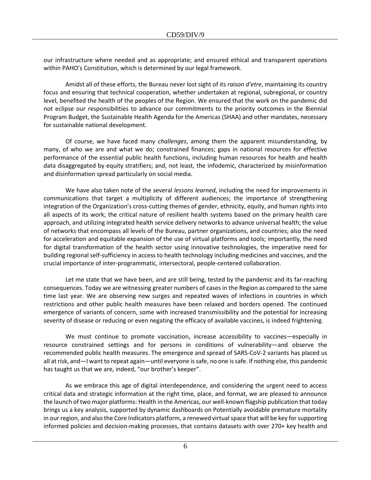our infrastructure where needed and as appropriate; and ensured ethical and transparent operations within PAHO's Constitution, which is determined by our legal framework.

Amidst all of these efforts, the Bureau never lost sight of its *raison d'etre*, maintaining its country focus and ensuring that technical cooperation, whether undertaken at regional, subregional, or country level, benefited the health of the peoples of the Region. We ensured that the work on the pandemic did not eclipse our responsibilities to advance our commitments to the priority outcomes in the Biennial Program Budget, the Sustainable Health Agenda for the Americas (SHAA) and other mandates, necessary for sustainable national development.

Of course, we have faced many *challenges*, among them the apparent misunderstanding, by many, of who we are and what we do; constrained finances; gaps in national resources for effective performance of the essential public health functions, including human resources for health and health data disaggregated by equity stratifiers; and, not least, the infodemic, characterized by misinformation and disinformation spread particularly on social media.

We have also taken note of the several *lessons learned*, including the need for improvements in communications that target a multiplicity of different audiences; the importance of strengthening integration of the Organization's cross-cutting themes of gender, ethnicity, equity, and human rights into all aspects of its work; the critical nature of resilient health systems based on the primary health care approach, and utilizing integrated health service delivery networks to advance universal health; the value of networks that encompass all levels of the Bureau, partner organizations, and countries; also the need for acceleration and equitable expansion of the use of virtual platforms and tools; importantly, the need for digital transformation of the health sector using innovative technologies, the imperative need for building regional self-sufficiency in access to health technology including medicines and vaccines, and the crucial importance of inter-programmatic, intersectoral, people-centered collaboration.

Let me state that we have been, and are still being, tested by the pandemic and its far-reaching consequences. Today we are witnessing greater numbers of cases in the Region as compared to the same time last year. We are observing new surges and repeated waves of infections in countries in which restrictions and other public health measures have been relaxed and borders opened. The continued emergence of variants of concern, some with increased transmissibility and the potential for increasing severity of disease or reducing or even negating the efficacy of available vaccines, is indeed frightening.

We must continue to promote vaccination, increase accessibility to vaccines—especially in resource constrained settings and for persons in conditions of vulnerability—and observe the recommended public health measures. The emergence and spread of SARS-CoV-2 variants has placed us all at risk, and—I want to repeat again—until everyone is safe, no one is safe. If nothing else, this pandemic has taught us that we are, indeed, "our brother's keeper".

As we embrace this age of digital interdependence, and considering the urgent need to access critical data and strategic information at the right time, place, and format, we are pleased to announce the launch of two major platforms: Health in the Americas, our well-known flagship publication that today brings us a key analysis, supported by dynamic dashboards on Potentially avoidable premature mortality in our region, and also the Core Indicators platform, a renewed virtual space that will be key for supporting informed policies and decision-making processes, that contains datasets with over 270+ key health and